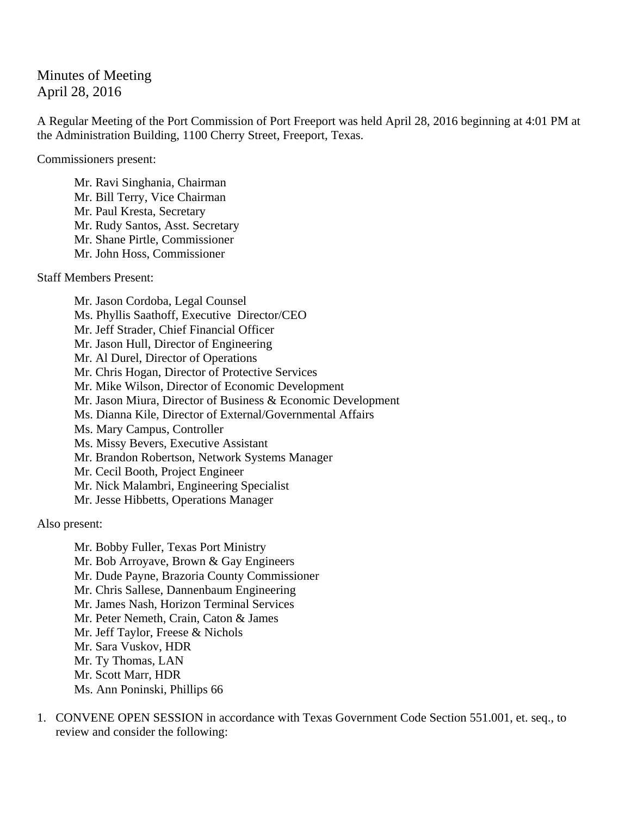## Minutes of Meeting April 28, 2016

A Regular Meeting of the Port Commission of Port Freeport was held April 28, 2016 beginning at 4:01 PM at the Administration Building, 1100 Cherry Street, Freeport, Texas.

Commissioners present:

Mr. Ravi Singhania, Chairman Mr. Bill Terry, Vice Chairman Mr. Paul Kresta, Secretary Mr. Rudy Santos, Asst. Secretary Mr. Shane Pirtle, Commissioner Mr. John Hoss, Commissioner

Staff Members Present:

 Mr. Jason Cordoba, Legal Counsel Ms. Phyllis Saathoff, Executive Director/CEO Mr. Jeff Strader, Chief Financial Officer Mr. Jason Hull, Director of Engineering Mr. Al Durel, Director of Operations Mr. Chris Hogan, Director of Protective Services Mr. Mike Wilson, Director of Economic Development Mr. Jason Miura, Director of Business & Economic Development Ms. Dianna Kile, Director of External/Governmental Affairs Ms. Mary Campus, Controller Ms. Missy Bevers, Executive Assistant Mr. Brandon Robertson, Network Systems Manager Mr. Cecil Booth, Project Engineer Mr. Nick Malambri, Engineering Specialist Mr. Jesse Hibbetts, Operations Manager

Also present:

 Mr. Bobby Fuller, Texas Port Ministry Mr. Bob Arroyave, Brown & Gay Engineers Mr. Dude Payne, Brazoria County Commissioner Mr. Chris Sallese, Dannenbaum Engineering Mr. James Nash, Horizon Terminal Services Mr. Peter Nemeth, Crain, Caton & James Mr. Jeff Taylor, Freese & Nichols Mr. Sara Vuskov, HDR Mr. Ty Thomas, LAN Mr. Scott Marr, HDR Ms. Ann Poninski, Phillips 66

1. CONVENE OPEN SESSION in accordance with Texas Government Code Section 551.001, et. seq., to review and consider the following: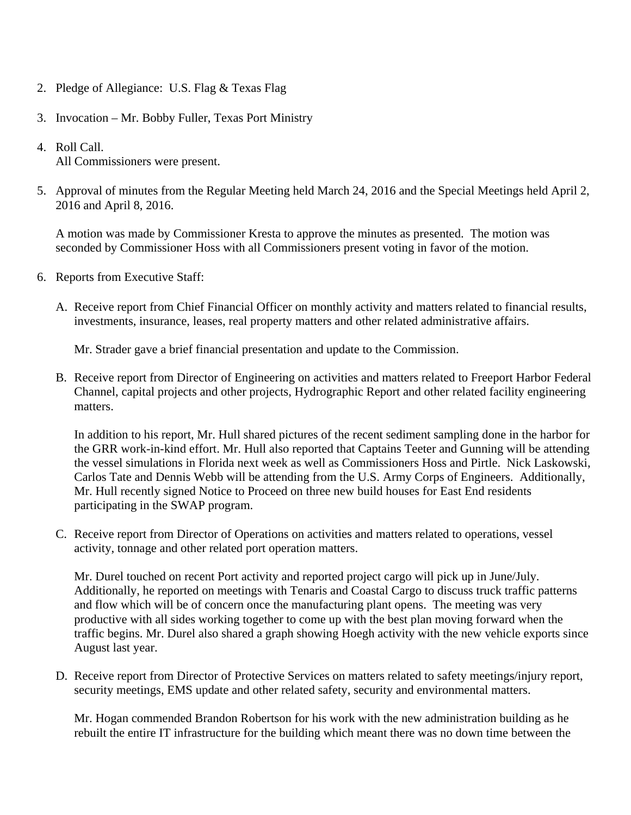- 2. Pledge of Allegiance: U.S. Flag & Texas Flag
- 3. Invocation Mr. Bobby Fuller, Texas Port Ministry
- 4. Roll Call. All Commissioners were present.
- 5. Approval of minutes from the Regular Meeting held March 24, 2016 and the Special Meetings held April 2, 2016 and April 8, 2016.

A motion was made by Commissioner Kresta to approve the minutes as presented. The motion was seconded by Commissioner Hoss with all Commissioners present voting in favor of the motion.

- 6. Reports from Executive Staff:
	- A. Receive report from Chief Financial Officer on monthly activity and matters related to financial results, investments, insurance, leases, real property matters and other related administrative affairs.

Mr. Strader gave a brief financial presentation and update to the Commission.

B. Receive report from Director of Engineering on activities and matters related to Freeport Harbor Federal Channel, capital projects and other projects, Hydrographic Report and other related facility engineering matters.

In addition to his report, Mr. Hull shared pictures of the recent sediment sampling done in the harbor for the GRR work-in-kind effort. Mr. Hull also reported that Captains Teeter and Gunning will be attending the vessel simulations in Florida next week as well as Commissioners Hoss and Pirtle. Nick Laskowski, Carlos Tate and Dennis Webb will be attending from the U.S. Army Corps of Engineers. Additionally, Mr. Hull recently signed Notice to Proceed on three new build houses for East End residents participating in the SWAP program.

C. Receive report from Director of Operations on activities and matters related to operations, vessel activity, tonnage and other related port operation matters.

Mr. Durel touched on recent Port activity and reported project cargo will pick up in June/July. Additionally, he reported on meetings with Tenaris and Coastal Cargo to discuss truck traffic patterns and flow which will be of concern once the manufacturing plant opens. The meeting was very productive with all sides working together to come up with the best plan moving forward when the traffic begins. Mr. Durel also shared a graph showing Hoegh activity with the new vehicle exports since August last year.

D. Receive report from Director of Protective Services on matters related to safety meetings/injury report, security meetings, EMS update and other related safety, security and environmental matters.

Mr. Hogan commended Brandon Robertson for his work with the new administration building as he rebuilt the entire IT infrastructure for the building which meant there was no down time between the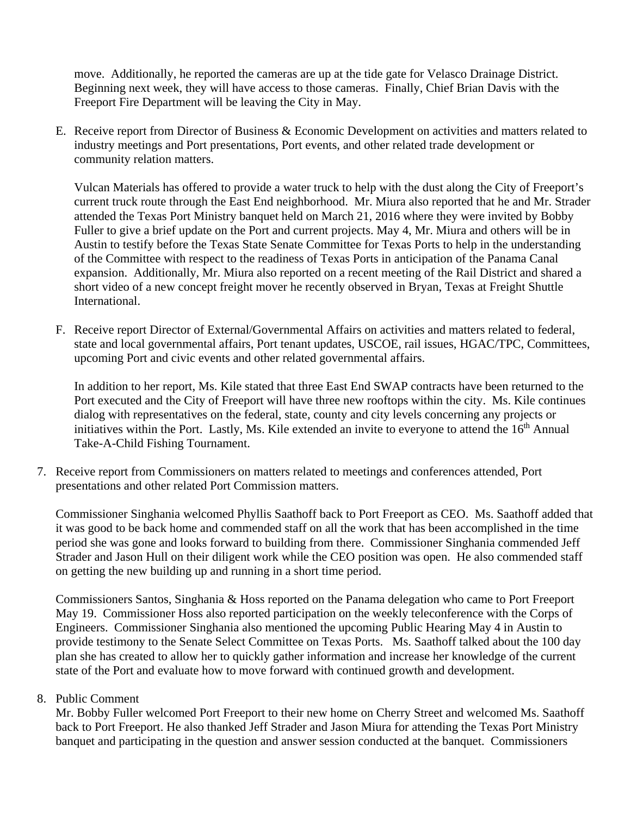move. Additionally, he reported the cameras are up at the tide gate for Velasco Drainage District. Beginning next week, they will have access to those cameras. Finally, Chief Brian Davis with the Freeport Fire Department will be leaving the City in May.

E. Receive report from Director of Business & Economic Development on activities and matters related to industry meetings and Port presentations, Port events, and other related trade development or community relation matters.

Vulcan Materials has offered to provide a water truck to help with the dust along the City of Freeport's current truck route through the East End neighborhood. Mr. Miura also reported that he and Mr. Strader attended the Texas Port Ministry banquet held on March 21, 2016 where they were invited by Bobby Fuller to give a brief update on the Port and current projects. May 4, Mr. Miura and others will be in Austin to testify before the Texas State Senate Committee for Texas Ports to help in the understanding of the Committee with respect to the readiness of Texas Ports in anticipation of the Panama Canal expansion. Additionally, Mr. Miura also reported on a recent meeting of the Rail District and shared a short video of a new concept freight mover he recently observed in Bryan, Texas at Freight Shuttle International.

F. Receive report Director of External/Governmental Affairs on activities and matters related to federal, state and local governmental affairs, Port tenant updates, USCOE, rail issues, HGAC/TPC, Committees, upcoming Port and civic events and other related governmental affairs.

In addition to her report, Ms. Kile stated that three East End SWAP contracts have been returned to the Port executed and the City of Freeport will have three new rooftops within the city. Ms. Kile continues dialog with representatives on the federal, state, county and city levels concerning any projects or initiatives within the Port. Lastly, Ms. Kile extended an invite to everyone to attend the 16<sup>th</sup> Annual Take-A-Child Fishing Tournament.

7. Receive report from Commissioners on matters related to meetings and conferences attended, Port presentations and other related Port Commission matters.

Commissioner Singhania welcomed Phyllis Saathoff back to Port Freeport as CEO. Ms. Saathoff added that it was good to be back home and commended staff on all the work that has been accomplished in the time period she was gone and looks forward to building from there. Commissioner Singhania commended Jeff Strader and Jason Hull on their diligent work while the CEO position was open. He also commended staff on getting the new building up and running in a short time period.

Commissioners Santos, Singhania & Hoss reported on the Panama delegation who came to Port Freeport May 19. Commissioner Hoss also reported participation on the weekly teleconference with the Corps of Engineers. Commissioner Singhania also mentioned the upcoming Public Hearing May 4 in Austin to provide testimony to the Senate Select Committee on Texas Ports. Ms. Saathoff talked about the 100 day plan she has created to allow her to quickly gather information and increase her knowledge of the current state of the Port and evaluate how to move forward with continued growth and development.

## 8. Public Comment

Mr. Bobby Fuller welcomed Port Freeport to their new home on Cherry Street and welcomed Ms. Saathoff back to Port Freeport. He also thanked Jeff Strader and Jason Miura for attending the Texas Port Ministry banquet and participating in the question and answer session conducted at the banquet. Commissioners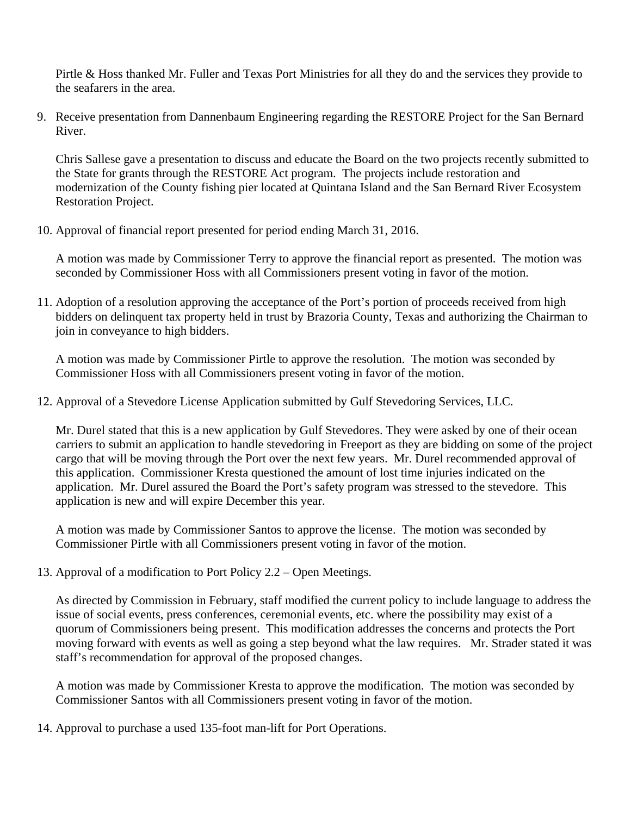Pirtle & Hoss thanked Mr. Fuller and Texas Port Ministries for all they do and the services they provide to the seafarers in the area.

9. Receive presentation from Dannenbaum Engineering regarding the RESTORE Project for the San Bernard River.

Chris Sallese gave a presentation to discuss and educate the Board on the two projects recently submitted to the State for grants through the RESTORE Act program. The projects include restoration and modernization of the County fishing pier located at Quintana Island and the San Bernard River Ecosystem Restoration Project.

10. Approval of financial report presented for period ending March 31, 2016.

A motion was made by Commissioner Terry to approve the financial report as presented. The motion was seconded by Commissioner Hoss with all Commissioners present voting in favor of the motion.

11. Adoption of a resolution approving the acceptance of the Port's portion of proceeds received from high bidders on delinquent tax property held in trust by Brazoria County, Texas and authorizing the Chairman to join in conveyance to high bidders.

A motion was made by Commissioner Pirtle to approve the resolution. The motion was seconded by Commissioner Hoss with all Commissioners present voting in favor of the motion.

12. Approval of a Stevedore License Application submitted by Gulf Stevedoring Services, LLC.

Mr. Durel stated that this is a new application by Gulf Stevedores. They were asked by one of their ocean carriers to submit an application to handle stevedoring in Freeport as they are bidding on some of the project cargo that will be moving through the Port over the next few years. Mr. Durel recommended approval of this application. Commissioner Kresta questioned the amount of lost time injuries indicated on the application. Mr. Durel assured the Board the Port's safety program was stressed to the stevedore. This application is new and will expire December this year.

A motion was made by Commissioner Santos to approve the license. The motion was seconded by Commissioner Pirtle with all Commissioners present voting in favor of the motion.

13. Approval of a modification to Port Policy 2.2 – Open Meetings.

As directed by Commission in February, staff modified the current policy to include language to address the issue of social events, press conferences, ceremonial events, etc. where the possibility may exist of a quorum of Commissioners being present. This modification addresses the concerns and protects the Port moving forward with events as well as going a step beyond what the law requires. Mr. Strader stated it was staff's recommendation for approval of the proposed changes.

A motion was made by Commissioner Kresta to approve the modification. The motion was seconded by Commissioner Santos with all Commissioners present voting in favor of the motion.

14. Approval to purchase a used 135-foot man-lift for Port Operations.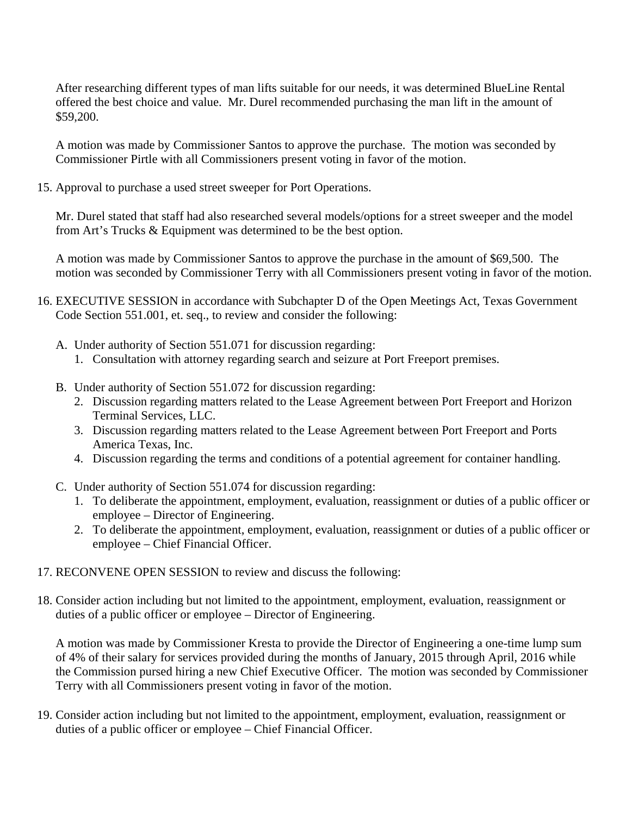After researching different types of man lifts suitable for our needs, it was determined BlueLine Rental offered the best choice and value. Mr. Durel recommended purchasing the man lift in the amount of \$59,200.

A motion was made by Commissioner Santos to approve the purchase. The motion was seconded by Commissioner Pirtle with all Commissioners present voting in favor of the motion.

15. Approval to purchase a used street sweeper for Port Operations.

Mr. Durel stated that staff had also researched several models/options for a street sweeper and the model from Art's Trucks & Equipment was determined to be the best option.

A motion was made by Commissioner Santos to approve the purchase in the amount of \$69,500. The motion was seconded by Commissioner Terry with all Commissioners present voting in favor of the motion.

- 16. EXECUTIVE SESSION in accordance with Subchapter D of the Open Meetings Act, Texas Government Code Section 551.001, et. seq., to review and consider the following:
	- A. Under authority of Section 551.071 for discussion regarding:
		- 1. Consultation with attorney regarding search and seizure at Port Freeport premises.
	- B. Under authority of Section 551.072 for discussion regarding:
		- 2. Discussion regarding matters related to the Lease Agreement between Port Freeport and Horizon Terminal Services, LLC.
		- 3. Discussion regarding matters related to the Lease Agreement between Port Freeport and Ports America Texas, Inc.
		- 4. Discussion regarding the terms and conditions of a potential agreement for container handling.
	- C. Under authority of Section 551.074 for discussion regarding:
		- 1. To deliberate the appointment, employment, evaluation, reassignment or duties of a public officer or employee – Director of Engineering.
		- 2. To deliberate the appointment, employment, evaluation, reassignment or duties of a public officer or employee – Chief Financial Officer.
- 17. RECONVENE OPEN SESSION to review and discuss the following:
- 18. Consider action including but not limited to the appointment, employment, evaluation, reassignment or duties of a public officer or employee – Director of Engineering.

A motion was made by Commissioner Kresta to provide the Director of Engineering a one-time lump sum of 4% of their salary for services provided during the months of January, 2015 through April, 2016 while the Commission pursed hiring a new Chief Executive Officer. The motion was seconded by Commissioner Terry with all Commissioners present voting in favor of the motion.

19. Consider action including but not limited to the appointment, employment, evaluation, reassignment or duties of a public officer or employee – Chief Financial Officer.